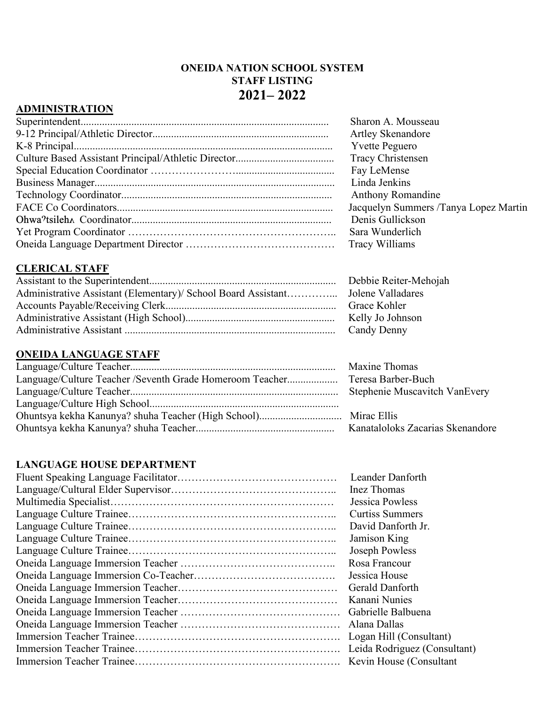### **ONEIDA NATION SCHOOL SYSTEM STAFF LISTING 2021– 2022**

### **ADMINISTRATION**

| Sharon A. Mousseau                    |
|---------------------------------------|
| <b>Artley Skenandore</b>              |
| <b>Yvette Peguero</b>                 |
| <b>Tracy Christensen</b>              |
| Fay LeMense                           |
| Linda Jenkins                         |
| <b>Anthony Romandine</b>              |
| Jacquelyn Summers /Tanya Lopez Martin |
| Denis Gullickson                      |
| Sara Wunderlich                       |
| Tracy Williams                        |
|                                       |

### **CLERICAL STAFF**

| Debbie Reiter-Mehojah |
|-----------------------|
|                       |
| Grace Kohler          |
| Kelly Jo Johnson      |
| Candy Denny           |

### **ONEIDA LANGUAGE STAFF**

|                                                                             | <b>Maxine Thomas</b> |
|-----------------------------------------------------------------------------|----------------------|
| Language/Culture Teacher /Seventh Grade Homeroom Teacher Teresa Barber-Buch |                      |
|                                                                             |                      |
|                                                                             |                      |
|                                                                             |                      |
|                                                                             |                      |

### **LANGUAGE HOUSE DEPARTMENT**

| Leander Danforth             |
|------------------------------|
| Inez Thomas                  |
| Jessica Powless              |
| <b>Curtiss Summers</b>       |
| David Danforth Jr.           |
| Jamison King                 |
| Joseph Powless               |
| Rosa Francour                |
| Jessica House                |
| Gerald Danforth              |
| Kanani Nunies                |
|                              |
|                              |
| Logan Hill (Consultant)      |
| Leida Rodriguez (Consultant) |
| Kevin House (Consultant      |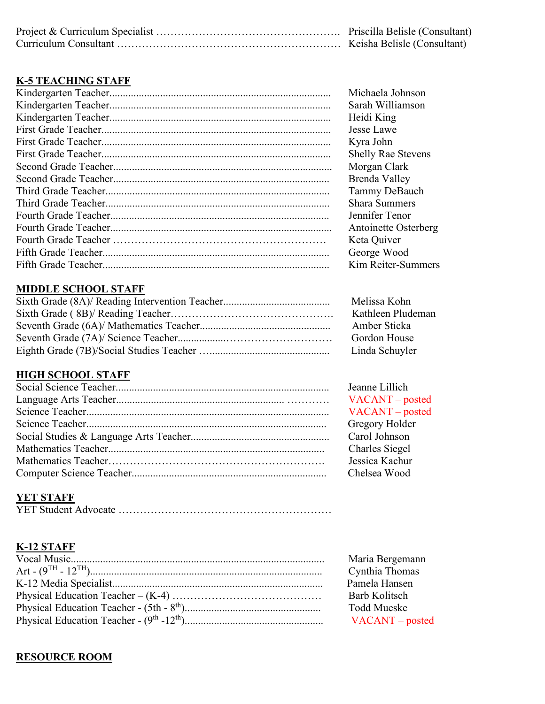# **K-5 TEACHING STAFF**

| Michaela Johnson          |
|---------------------------|
| Sarah Williamson          |
| Heidi King                |
| Jesse Lawe                |
| Kyra John                 |
| <b>Shelly Rae Stevens</b> |
| Morgan Clark              |
| Brenda Valley             |
| Tammy DeBauch             |
| <b>Shara Summers</b>      |
| Jennifer Tenor            |
| Antoinette Osterberg      |
| Keta Quiver               |
| George Wood               |
| Kim Reiter-Summers        |

### **MIDDLE SCHOOL STAFF**

| Melissa Kohn      |
|-------------------|
| Kathleen Pludeman |
| Amber Sticka      |
| Gordon House      |
| Linda Schuyler    |

# **HIGH SCHOOL STAFF**

Jeanne Lillich VACANT – posted VACANT – posted Gregory Holder. Carol Johnson Charles Siegel Jessica Kachur Chelsea Wood

# **YET STAFF**

|--|

# **K-12 STAFF**

| Maria Bergemann   |
|-------------------|
| Cynthia Thomas    |
| Pamela Hansen     |
| Barb Kolitsch     |
| Todd Mueske       |
| $VACANT - posted$ |

# **RESOURCE ROOM**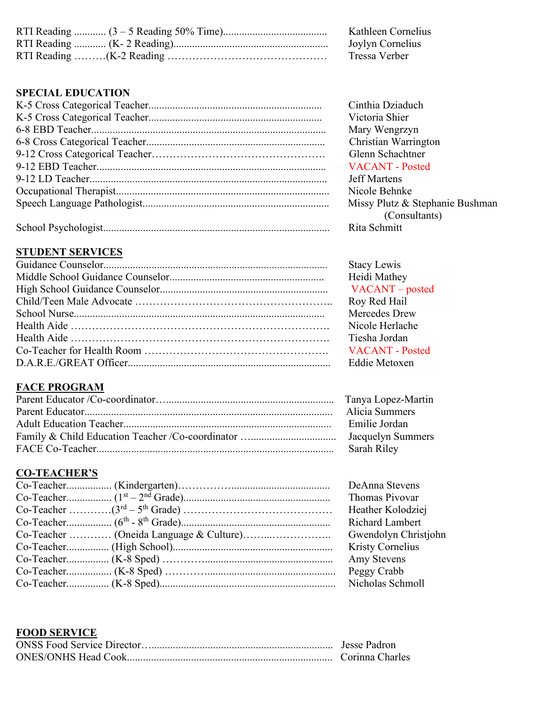| K     |
|-------|
| Jc    |
| $T_1$ |

RTI Reading ............ (3 – 5 Reading 50% Time)....................................... Kathleen Cornelius bylyn Cornelius ressa Verber

### **SPECIAL EDUCATION**

Cinthia Dziaduch Victoria Shier Mary Wengrzyn Christian Warrington Glenn Schachtner VACANT - Posted

Jeff Martens. Nicole Behnke Missy Plutz & Stephanie Bushman (Consultants)<br>Rita Schmitt

# **STUDENT SERVICES**

Stacy Lewis Heidi Mathey VACANT – posted Roy Red Hail Mercedes Drew Nicole Herlache Tiesha Jordan VACANT - Posted Eddie Metoxen

# **FACE PROGRAM**

| Alicia Summers |
|----------------|
| Emilie Jordan  |
|                |
| Sarah Riley    |

### **CO-TEACHER'S**

|                                         | DeAnna Stevens          |
|-----------------------------------------|-------------------------|
|                                         | Thomas Pivovar          |
|                                         | Heather Kolodziej       |
|                                         | <b>Richard Lambert</b>  |
| Co-Teacher  (Oneida Language & Culture) | Gwendolyn Christjohn    |
|                                         | <b>Kristy Cornelius</b> |
|                                         | Amy Stevens             |
|                                         | Peggy Crabb             |
|                                         | Nicholas Schmoll        |

#### **FOOD SERVICE**